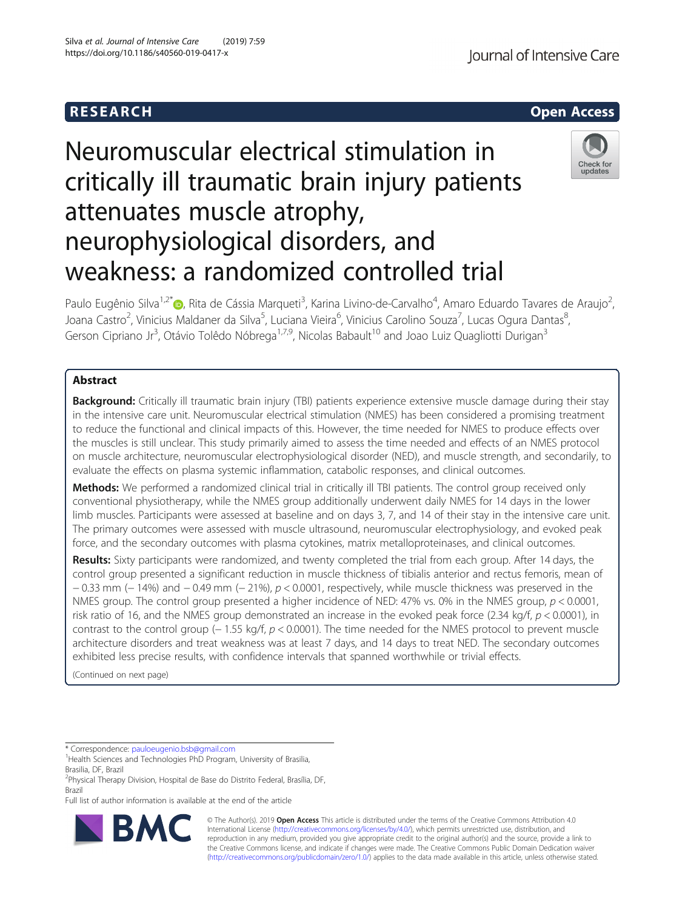

# Neuromuscular electrical stimulation in critically ill traumatic brain injury patients attenuates muscle atrophy, neurophysiological disorders, and weakness: a randomized controlled trial



Paulo Eugênio Silva<sup>1,2\*</sup>®, Rita de Cássia Marqueti<sup>3</sup>, Karina Livino-de-Carvalho<sup>4</sup>, Amaro Eduardo Tavares de Araujo<sup>2</sup> , Joana Castro<sup>2</sup>, Vinicius Maldaner da Silva<sup>5</sup>, Luciana Vieira<sup>6</sup>, Vinicius Carolino Souza<sup>7</sup>, Lucas Ogura Dantas<sup>8</sup> ;<br>, Gerson Cipriano Jr<sup>3</sup>, Otávio Tolêdo Nóbrega<sup>1,7,9</sup>, Nicolas Babault<sup>10</sup> and Joao Luiz Quagliotti Durigan<sup>3</sup>

# Abstract

Background: Critically ill traumatic brain injury (TBI) patients experience extensive muscle damage during their stay in the intensive care unit. Neuromuscular electrical stimulation (NMES) has been considered a promising treatment to reduce the functional and clinical impacts of this. However, the time needed for NMES to produce effects over the muscles is still unclear. This study primarily aimed to assess the time needed and effects of an NMES protocol on muscle architecture, neuromuscular electrophysiological disorder (NED), and muscle strength, and secondarily, to evaluate the effects on plasma systemic inflammation, catabolic responses, and clinical outcomes.

Methods: We performed a randomized clinical trial in critically ill TBI patients. The control group received only conventional physiotherapy, while the NMES group additionally underwent daily NMES for 14 days in the lower limb muscles. Participants were assessed at baseline and on days 3, 7, and 14 of their stay in the intensive care unit. The primary outcomes were assessed with muscle ultrasound, neuromuscular electrophysiology, and evoked peak force, and the secondary outcomes with plasma cytokines, matrix metalloproteinases, and clinical outcomes.

Results: Sixty participants were randomized, and twenty completed the trial from each group. After 14 days, the control group presented a significant reduction in muscle thickness of tibialis anterior and rectus femoris, mean of − 0.33 mm (− 14%) and − 0.49 mm (− 21%), p < 0.0001, respectively, while muscle thickness was preserved in the NMES group. The control group presented a higher incidence of NED: 47% vs. 0% in the NMES group,  $p < 0.0001$ , risk ratio of 16, and the NMES group demonstrated an increase in the evoked peak force (2.34 kg/f,  $p < 0.0001$ ), in contrast to the control group (− 1.55 kg/f, p < 0.0001). The time needed for the NMES protocol to prevent muscle architecture disorders and treat weakness was at least 7 days, and 14 days to treat NED. The secondary outcomes exhibited less precise results, with confidence intervals that spanned worthwhile or trivial effects.

(Continued on next page)

\* Correspondence: [pauloeugenio.bsb@gmail.com](mailto:pauloeugenio.bsb@gmail.com) <sup>1</sup>

<sup>1</sup>Health Sciences and Technologies PhD Program, University of Brasilia, Brasilia, DF, Brazil

<sup>2</sup> Physical Therapy Division, Hospital de Base do Distrito Federal, Brasília, DF, Brazil

Full list of author information is available at the end of the article



© The Author(s). 2019 **Open Access** This article is distributed under the terms of the Creative Commons Attribution 4.0 International License [\(http://creativecommons.org/licenses/by/4.0/](http://creativecommons.org/licenses/by/4.0/)), which permits unrestricted use, distribution, and reproduction in any medium, provided you give appropriate credit to the original author(s) and the source, provide a link to the Creative Commons license, and indicate if changes were made. The Creative Commons Public Domain Dedication waiver [\(http://creativecommons.org/publicdomain/zero/1.0/](http://creativecommons.org/publicdomain/zero/1.0/)) applies to the data made available in this article, unless otherwise stated.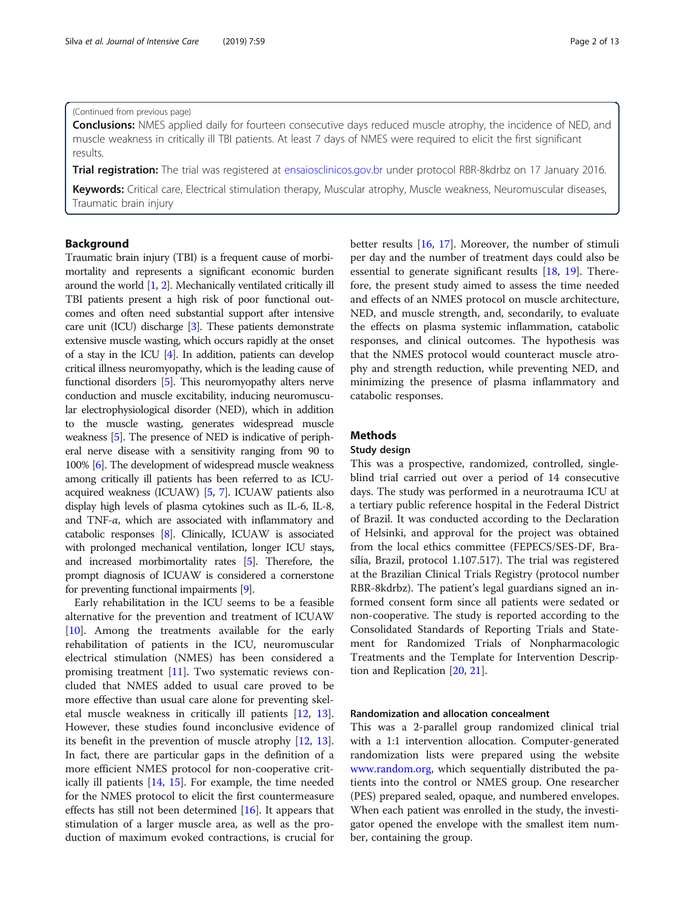#### (Continued from previous page)

**Conclusions:** NMES applied daily for fourteen consecutive days reduced muscle atrophy, the incidence of NED, and muscle weakness in critically ill TBI patients. At least 7 days of NMES were required to elicit the first significant results.

Trial registration: The trial was registered at [ensaiosclinicos.gov.br](http://ensaiosclinicos.gov.br) under protocol RBR-8kdrbz on 17 January 2016.

Keywords: Critical care, Electrical stimulation therapy, Muscular atrophy, Muscle weakness, Neuromuscular diseases, Traumatic brain injury

# Background

Traumatic brain injury (TBI) is a frequent cause of morbimortality and represents a significant economic burden around the world [[1](#page-11-0), [2\]](#page-11-0). Mechanically ventilated critically ill TBI patients present a high risk of poor functional outcomes and often need substantial support after intensive care unit (ICU) discharge [\[3\]](#page-11-0). These patients demonstrate extensive muscle wasting, which occurs rapidly at the onset of a stay in the ICU [\[4](#page-11-0)]. In addition, patients can develop critical illness neuromyopathy, which is the leading cause of functional disorders [\[5\]](#page-11-0). This neuromyopathy alters nerve conduction and muscle excitability, inducing neuromuscular electrophysiological disorder (NED), which in addition to the muscle wasting, generates widespread muscle weakness [\[5\]](#page-11-0). The presence of NED is indicative of peripheral nerve disease with a sensitivity ranging from 90 to 100% [\[6\]](#page-11-0). The development of widespread muscle weakness among critically ill patients has been referred to as ICUacquired weakness (ICUAW) [\[5,](#page-11-0) [7](#page-11-0)]. ICUAW patients also display high levels of plasma cytokines such as IL-6, IL-8, and TNF- $\alpha$ , which are associated with inflammatory and catabolic responses [[8](#page-11-0)]. Clinically, ICUAW is associated with prolonged mechanical ventilation, longer ICU stays, and increased morbimortality rates [[5](#page-11-0)]. Therefore, the prompt diagnosis of ICUAW is considered a cornerstone for preventing functional impairments [[9](#page-11-0)].

Early rehabilitation in the ICU seems to be a feasible alternative for the prevention and treatment of ICUAW [[10\]](#page-11-0). Among the treatments available for the early rehabilitation of patients in the ICU, neuromuscular electrical stimulation (NMES) has been considered a promising treatment [\[11](#page-11-0)]. Two systematic reviews concluded that NMES added to usual care proved to be more effective than usual care alone for preventing skeletal muscle weakness in critically ill patients [\[12](#page-11-0), [13](#page-11-0)]. However, these studies found inconclusive evidence of its benefit in the prevention of muscle atrophy [[12,](#page-11-0) [13](#page-11-0)]. In fact, there are particular gaps in the definition of a more efficient NMES protocol for non-cooperative critically ill patients [\[14](#page-11-0), [15\]](#page-11-0). For example, the time needed for the NMES protocol to elicit the first countermeasure effects has still not been determined [\[16](#page-11-0)]. It appears that stimulation of a larger muscle area, as well as the production of maximum evoked contractions, is crucial for better results [[16,](#page-11-0) [17](#page-11-0)]. Moreover, the number of stimuli per day and the number of treatment days could also be essential to generate significant results [\[18,](#page-11-0) [19](#page-11-0)]. Therefore, the present study aimed to assess the time needed and effects of an NMES protocol on muscle architecture, NED, and muscle strength, and, secondarily, to evaluate the effects on plasma systemic inflammation, catabolic responses, and clinical outcomes. The hypothesis was that the NMES protocol would counteract muscle atrophy and strength reduction, while preventing NED, and minimizing the presence of plasma inflammatory and catabolic responses.

#### Methods

#### Study design

This was a prospective, randomized, controlled, singleblind trial carried out over a period of 14 consecutive days. The study was performed in a neurotrauma ICU at a tertiary public reference hospital in the Federal District of Brazil. It was conducted according to the Declaration of Helsinki, and approval for the project was obtained from the local ethics committee (FEPECS/SES-DF, Brasília, Brazil, protocol 1.107.517). The trial was registered at the Brazilian Clinical Trials Registry (protocol number RBR-8kdrbz). The patient's legal guardians signed an informed consent form since all patients were sedated or non-cooperative. The study is reported according to the Consolidated Standards of Reporting Trials and Statement for Randomized Trials of Nonpharmacologic Treatments and the Template for Intervention Description and Replication [[20,](#page-11-0) [21\]](#page-11-0).

#### Randomization and allocation concealment

This was a 2-parallel group randomized clinical trial with a 1:1 intervention allocation. Computer-generated randomization lists were prepared using the website [www.random.org](http://www.random.org), which sequentially distributed the patients into the control or NMES group. One researcher (PES) prepared sealed, opaque, and numbered envelopes. When each patient was enrolled in the study, the investigator opened the envelope with the smallest item number, containing the group.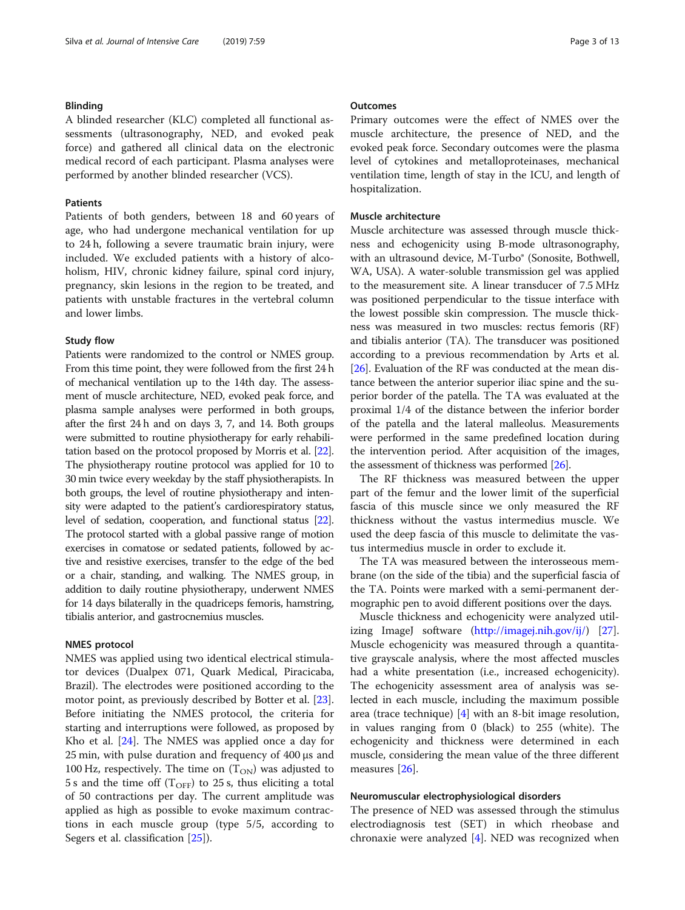#### Blinding

A blinded researcher (KLC) completed all functional assessments (ultrasonography, NED, and evoked peak force) and gathered all clinical data on the electronic medical record of each participant. Plasma analyses were performed by another blinded researcher (VCS).

#### Patients

Patients of both genders, between 18 and 60 years of age, who had undergone mechanical ventilation for up to 24 h, following a severe traumatic brain injury, were included. We excluded patients with a history of alcoholism, HIV, chronic kidney failure, spinal cord injury, pregnancy, skin lesions in the region to be treated, and patients with unstable fractures in the vertebral column and lower limbs.

#### Study flow

Patients were randomized to the control or NMES group. From this time point, they were followed from the first 24 h of mechanical ventilation up to the 14th day. The assessment of muscle architecture, NED, evoked peak force, and plasma sample analyses were performed in both groups, after the first 24 h and on days 3, 7, and 14. Both groups were submitted to routine physiotherapy for early rehabilitation based on the protocol proposed by Morris et al. [\[22](#page-11-0)]. The physiotherapy routine protocol was applied for 10 to 30 min twice every weekday by the staff physiotherapists. In both groups, the level of routine physiotherapy and intensity were adapted to the patient's cardiorespiratory status, level of sedation, cooperation, and functional status [\[22](#page-11-0)]. The protocol started with a global passive range of motion exercises in comatose or sedated patients, followed by active and resistive exercises, transfer to the edge of the bed or a chair, standing, and walking. The NMES group, in addition to daily routine physiotherapy, underwent NMES for 14 days bilaterally in the quadriceps femoris, hamstring, tibialis anterior, and gastrocnemius muscles.

#### NMES protocol

NMES was applied using two identical electrical stimulator devices (Dualpex 071, Quark Medical, Piracicaba, Brazil). The electrodes were positioned according to the motor point, as previously described by Botter et al. [\[23](#page-11-0)]. Before initiating the NMES protocol, the criteria for starting and interruptions were followed, as proposed by Kho et al. [[24](#page-11-0)]. The NMES was applied once a day for 25 min, with pulse duration and frequency of 400 μs and 100 Hz, respectively. The time on  $(T_{ON})$  was adjusted to 5 s and the time off ( $T_{\text{OFF}}$ ) to 25 s, thus eliciting a total of 50 contractions per day. The current amplitude was applied as high as possible to evoke maximum contractions in each muscle group (type 5/5, according to Segers et al. classification [\[25](#page-11-0)]).

# **Outcomes**

Primary outcomes were the effect of NMES over the muscle architecture, the presence of NED, and the evoked peak force. Secondary outcomes were the plasma level of cytokines and metalloproteinases, mechanical ventilation time, length of stay in the ICU, and length of hospitalization.

## Muscle architecture

Muscle architecture was assessed through muscle thickness and echogenicity using B-mode ultrasonography, with an ultrasound device, M-Turbo® (Sonosite, Bothwell, WA, USA). A water-soluble transmission gel was applied to the measurement site. A linear transducer of 7.5 MHz was positioned perpendicular to the tissue interface with the lowest possible skin compression. The muscle thickness was measured in two muscles: rectus femoris (RF) and tibialis anterior (TA). The transducer was positioned according to a previous recommendation by Arts et al. [[26](#page-11-0)]. Evaluation of the RF was conducted at the mean distance between the anterior superior iliac spine and the superior border of the patella. The TA was evaluated at the proximal 1/4 of the distance between the inferior border of the patella and the lateral malleolus. Measurements were performed in the same predefined location during the intervention period. After acquisition of the images, the assessment of thickness was performed [[26\]](#page-11-0).

The RF thickness was measured between the upper part of the femur and the lower limit of the superficial fascia of this muscle since we only measured the RF thickness without the vastus intermedius muscle. We used the deep fascia of this muscle to delimitate the vastus intermedius muscle in order to exclude it.

The TA was measured between the interosseous membrane (on the side of the tibia) and the superficial fascia of the TA. Points were marked with a semi-permanent dermographic pen to avoid different positions over the days.

Muscle thickness and echogenicity were analyzed utilizing ImageJ software (<http://imagej.nih.gov/ij/>) [\[27](#page-11-0)]. Muscle echogenicity was measured through a quantitative grayscale analysis, where the most affected muscles had a white presentation (i.e., increased echogenicity). The echogenicity assessment area of analysis was selected in each muscle, including the maximum possible area (trace technique) [[4](#page-11-0)] with an 8-bit image resolution, in values ranging from 0 (black) to 255 (white). The echogenicity and thickness were determined in each muscle, considering the mean value of the three different measures [[26\]](#page-11-0).

#### Neuromuscular electrophysiological disorders

The presence of NED was assessed through the stimulus electrodiagnosis test (SET) in which rheobase and chronaxie were analyzed [[4\]](#page-11-0). NED was recognized when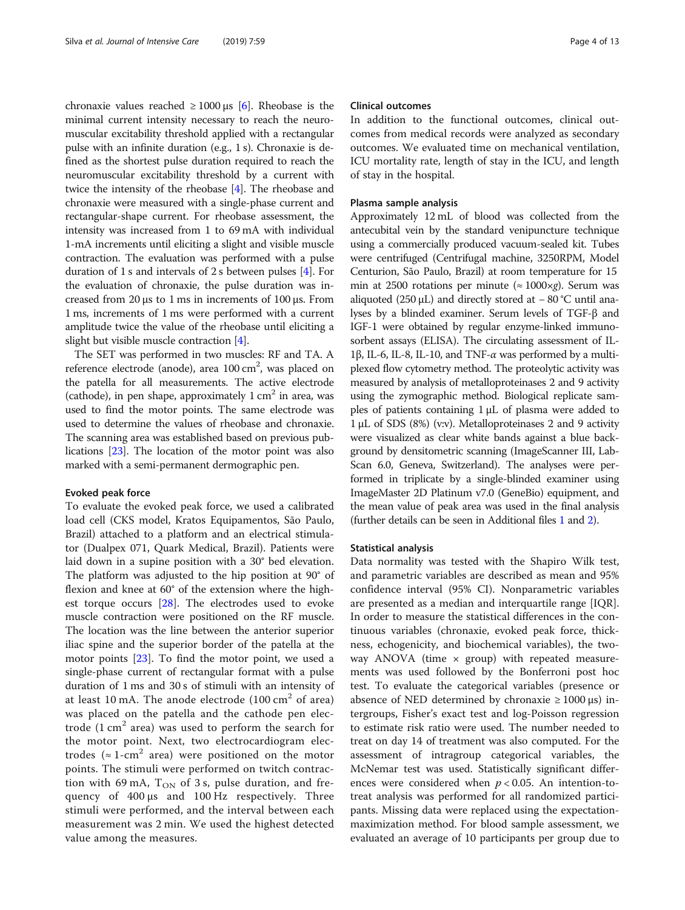chronaxie values reached  $\geq 1000 \,\mu s$  [\[6](#page-11-0)]. Rheobase is the minimal current intensity necessary to reach the neuromuscular excitability threshold applied with a rectangular pulse with an infinite duration (e.g., 1 s). Chronaxie is defined as the shortest pulse duration required to reach the neuromuscular excitability threshold by a current with twice the intensity of the rheobase [\[4\]](#page-11-0). The rheobase and chronaxie were measured with a single-phase current and rectangular-shape current. For rheobase assessment, the intensity was increased from 1 to 69 mA with individual 1-mA increments until eliciting a slight and visible muscle contraction. The evaluation was performed with a pulse duration of 1 s and intervals of 2 s between pulses [[4\]](#page-11-0). For the evaluation of chronaxie, the pulse duration was increased from 20 μs to 1 ms in increments of 100 μs. From 1 ms, increments of 1 ms were performed with a current amplitude twice the value of the rheobase until eliciting a slight but visible muscle contraction [[4](#page-11-0)].

The SET was performed in two muscles: RF and TA. A reference electrode (anode), area 100 cm<sup>2</sup>, was placed on the patella for all measurements. The active electrode (cathode), in pen shape, approximately  $1 \text{ cm}^2$  in area, was used to find the motor points. The same electrode was used to determine the values of rheobase and chronaxie. The scanning area was established based on previous publications [\[23\]](#page-11-0). The location of the motor point was also marked with a semi-permanent dermographic pen.

#### Evoked peak force

To evaluate the evoked peak force, we used a calibrated load cell (CKS model, Kratos Equipamentos, São Paulo, Brazil) attached to a platform and an electrical stimulator (Dualpex 071, Quark Medical, Brazil). Patients were laid down in a supine position with a 30° bed elevation. The platform was adjusted to the hip position at 90° of flexion and knee at 60° of the extension where the highest torque occurs [[28\]](#page-11-0). The electrodes used to evoke muscle contraction were positioned on the RF muscle. The location was the line between the anterior superior iliac spine and the superior border of the patella at the motor points [[23](#page-11-0)]. To find the motor point, we used a single-phase current of rectangular format with a pulse duration of 1 ms and 30 s of stimuli with an intensity of at least 10 mA. The anode electrode  $(100 \text{ cm}^2 \text{ of area})$ was placed on the patella and the cathode pen electrode  $(1 \text{ cm}^2 \text{ area})$  was used to perform the search for the motor point. Next, two electrocardiogram electrodes ( $\approx 1$ -cm<sup>2</sup> area) were positioned on the motor points. The stimuli were performed on twitch contraction with 69 mA,  $T_{ON}$  of 3 s, pulse duration, and frequency of 400 μs and 100 Hz respectively. Three stimuli were performed, and the interval between each measurement was 2 min. We used the highest detected value among the measures.

# Clinical outcomes

In addition to the functional outcomes, clinical outcomes from medical records were analyzed as secondary outcomes. We evaluated time on mechanical ventilation, ICU mortality rate, length of stay in the ICU, and length of stay in the hospital.

# Plasma sample analysis

Approximately 12 mL of blood was collected from the antecubital vein by the standard venipuncture technique using a commercially produced vacuum-sealed kit. Tubes were centrifuged (Centrifugal machine, 3250RPM, Model Centurion, São Paulo, Brazil) at room temperature for 15 min at 2500 rotations per minute ( $\approx 1000 \times g$ ). Serum was aliquoted (250 μL) and directly stored at  $-80$  °C until analyses by a blinded examiner. Serum levels of TGF-β and IGF-1 were obtained by regular enzyme-linked immunosorbent assays (ELISA). The circulating assessment of IL-1β, IL-6, IL-8, IL-10, and TNF- $\alpha$  was performed by a multiplexed flow cytometry method. The proteolytic activity was measured by analysis of metalloproteinases 2 and 9 activity using the zymographic method. Biological replicate samples of patients containing 1 μL of plasma were added to 1 μL of SDS (8%) (v:v). Metalloproteinases 2 and 9 activity were visualized as clear white bands against a blue background by densitometric scanning (ImageScanner III, Lab-Scan 6.0, Geneva, Switzerland). The analyses were performed in triplicate by a single-blinded examiner using ImageMaster 2D Platinum v7.0 (GeneBio) equipment, and the mean value of peak area was used in the final analysis (further details can be seen in Additional files [1](#page-10-0) and [2\)](#page-10-0).

#### Statistical analysis

Data normality was tested with the Shapiro Wilk test, and parametric variables are described as mean and 95% confidence interval (95% CI). Nonparametric variables are presented as a median and interquartile range [IQR]. In order to measure the statistical differences in the continuous variables (chronaxie, evoked peak force, thickness, echogenicity, and biochemical variables), the twoway ANOVA (time  $\times$  group) with repeated measurements was used followed by the Bonferroni post hoc test. To evaluate the categorical variables (presence or absence of NED determined by chronaxie  $\geq 1000 \,\mu s$ ) intergroups, Fisher's exact test and log-Poisson regression to estimate risk ratio were used. The number needed to treat on day 14 of treatment was also computed. For the assessment of intragroup categorical variables, the McNemar test was used. Statistically significant differences were considered when  $p < 0.05$ . An intention-totreat analysis was performed for all randomized participants. Missing data were replaced using the expectationmaximization method. For blood sample assessment, we evaluated an average of 10 participants per group due to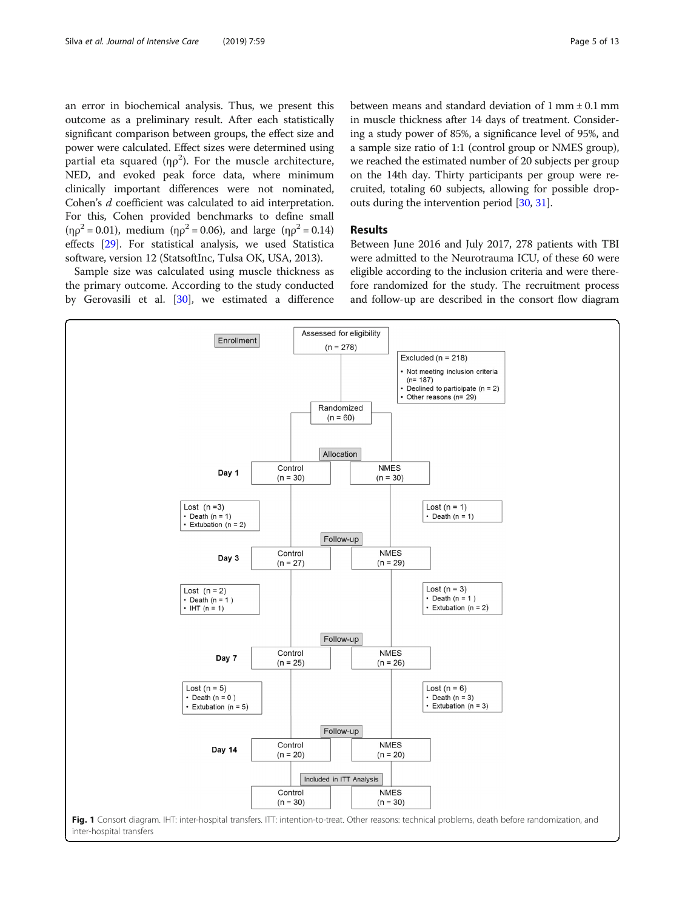<span id="page-4-0"></span>an error in biochemical analysis. Thus, we present this outcome as a preliminary result. After each statistically significant comparison between groups, the effect size and power were calculated. Effect sizes were determined using partial eta squared (η $\rho^2$ ). For the muscle architecture, NED, and evoked peak force data, where minimum clinically important differences were not nominated, Cohen's d coefficient was calculated to aid interpretation. For this, Cohen provided benchmarks to define small ( $\eta \rho^2 = 0.01$ ), medium ( $\eta \rho^2 = 0.06$ ), and large ( $\eta \rho^2 = 0.14$ ) effects [\[29\]](#page-11-0). For statistical analysis, we used Statistica software, version 12 (StatsoftInc, Tulsa OK, USA, 2013).

Sample size was calculated using muscle thickness as the primary outcome. According to the study conducted by Gerovasili et al. [[30](#page-11-0)], we estimated a difference between means and standard deviation of 1 mm ± 0.1 mm in muscle thickness after 14 days of treatment. Considering a study power of 85%, a significance level of 95%, and a sample size ratio of 1:1 (control group or NMES group), we reached the estimated number of 20 subjects per group on the 14th day. Thirty participants per group were recruited, totaling 60 subjects, allowing for possible dropouts during the intervention period [\[30](#page-11-0), [31](#page-11-0)].

# Results

Between June 2016 and July 2017, 278 patients with TBI were admitted to the Neurotrauma ICU, of these 60 were eligible according to the inclusion criteria and were therefore randomized for the study. The recruitment process and follow-up are described in the consort flow diagram

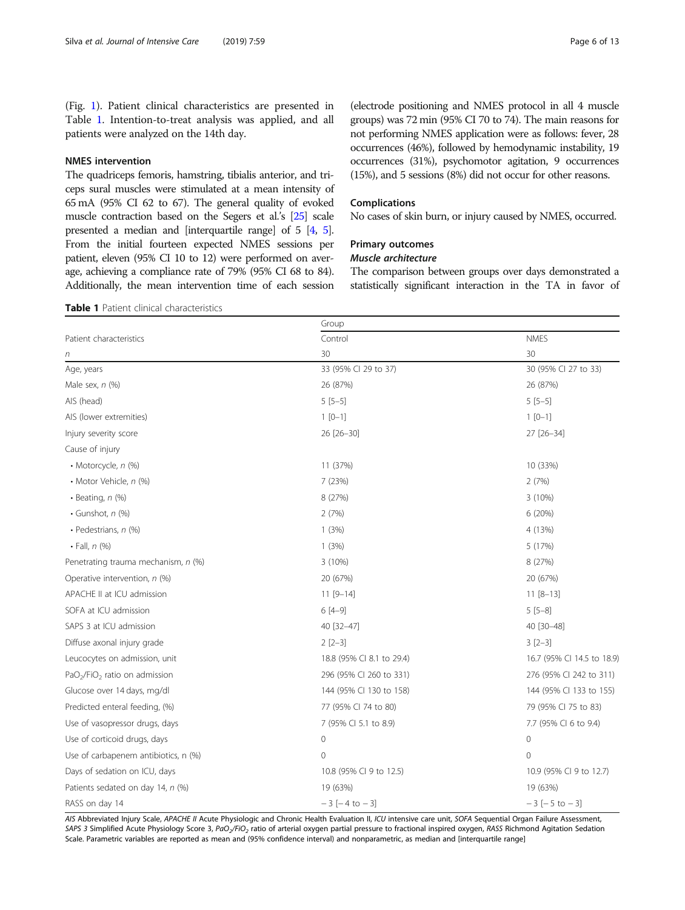(Fig. [1\)](#page-4-0). Patient clinical characteristics are presented in Table 1. Intention-to-treat analysis was applied, and all patients were analyzed on the 14th day.

# NMES intervention

The quadriceps femoris, hamstring, tibialis anterior, and triceps sural muscles were stimulated at a mean intensity of 65 mA (95% CI 62 to 67). The general quality of evoked muscle contraction based on the Segers et al.'s [\[25\]](#page-11-0) scale presented a median and [interquartile range] of 5 [\[4](#page-11-0), [5\]](#page-11-0). From the initial fourteen expected NMES sessions per patient, eleven (95% CI 10 to 12) were performed on average, achieving a compliance rate of 79% (95% CI 68 to 84). Additionally, the mean intervention time of each session

(electrode positioning and NMES protocol in all 4 muscle groups) was 72 min (95% CI 70 to 74). The main reasons for not performing NMES application were as follows: fever, 28 occurrences (46%), followed by hemodynamic instability, 19 occurrences (31%), psychomotor agitation, 9 occurrences (15%), and 5 sessions (8%) did not occur for other reasons.

# Complications

No cases of skin burn, or injury caused by NMES, occurred.

# Primary outcomes

# Muscle architecture

The comparison between groups over days demonstrated a statistically significant interaction in the TA in favor of

#### Table 1 Patient clinical characteristics

|                                                       | Group                     |                            |  |
|-------------------------------------------------------|---------------------------|----------------------------|--|
| Patient characteristics                               | Control                   | <b>NMES</b>                |  |
| n                                                     | 30                        | 30                         |  |
| Age, years                                            | 33 (95% CI 29 to 37)      | 30 (95% CI 27 to 33)       |  |
| Male sex, $n$ $(\%)$                                  | 26 (87%)                  | 26 (87%)                   |  |
| AIS (head)                                            | $5[5-5]$                  | $5[5-5]$                   |  |
| AIS (lower extremities)                               | $1 [0-1]$                 | $1 [0-1]$                  |  |
| Injury severity score                                 | 26 [26-30]                | 27 [26-34]                 |  |
| Cause of injury                                       |                           |                            |  |
| • Motorcycle, n (%)                                   | 11 (37%)                  | 10 (33%)                   |  |
| • Motor Vehicle, n (%)                                | 7 (23%)                   | 2(7%)                      |  |
| $\cdot$ Beating, n $(\%)$                             | 8 (27%)                   | 3(10%)                     |  |
| $\cdot$ Gunshot, $n$ (%)                              | 2(7%)                     | 6 (20%)                    |  |
| · Pedestrians, n (%)                                  | 1(3%)                     | 4 (13%)                    |  |
| $\cdot$ Fall, n $(\%)$                                | 1(3%)                     | 5 (17%)                    |  |
| Penetrating trauma mechanism, n (%)                   | 3 (10%)                   | 8 (27%)                    |  |
| Operative intervention, n (%)                         | 20 (67%)                  | 20 (67%)                   |  |
| APACHE II at ICU admission                            | $11 [9 - 14]$             | $11 [8 - 13]$              |  |
| SOFA at ICU admission                                 | $6[4-9]$                  | $5[5-8]$                   |  |
| SAPS 3 at ICU admission                               | 40 [32-47]                | 40 [30-48]                 |  |
| Diffuse axonal injury grade                           | $2[2-3]$                  | $3[2-3]$                   |  |
| Leucocytes on admission, unit                         | 18.8 (95% CI 8.1 to 29.4) | 16.7 (95% CI 14.5 to 18.9) |  |
| PaO <sub>2</sub> /FiO <sub>2</sub> ratio on admission | 296 (95% CI 260 to 331)   | 276 (95% CI 242 to 311)    |  |
| Glucose over 14 days, mg/dl                           | 144 (95% CI 130 to 158)   | 144 (95% Cl 133 to 155)    |  |
| Predicted enteral feeding, (%)                        | 77 (95% CI 74 to 80)      | 79 (95% CI 75 to 83)       |  |
| Use of vasopressor drugs, days                        | 7 (95% CI 5.1 to 8.9)     | 7.7 (95% CI 6 to 9.4)      |  |
| Use of corticoid drugs, days                          | $\mathbf 0$               | $\circ$                    |  |
| Use of carbapenem antibiotics, n (%)                  | $\Omega$                  | $\mathbf{0}$               |  |
| Days of sedation on ICU, days                         | 10.8 (95% CI 9 to 12.5)   | 10.9 (95% CI 9 to 12.7)    |  |
| Patients sedated on day 14, n (%)                     | 19 (63%)                  | 19 (63%)                   |  |
| RASS on day 14                                        | $-3[-4 to -3]$            | $-3[-5 \text{ to } -3]$    |  |

AIS Abbreviated Injury Scale, APACHE II Acute Physiologic and Chronic Health Evaluation II, ICU intensive care unit, SOFA Sequential Organ Failure Assessment, SAPS 3 Simplified Acute Physiology Score 3, PaO<sub>2</sub>/FiO<sub>2</sub> ratio of arterial oxygen partial pressure to fractional inspired oxygen, RASS Richmond Agitation Sedation Scale. Parametric variables are reported as mean and (95% confidence interval) and nonparametric, as median and [interquartile range]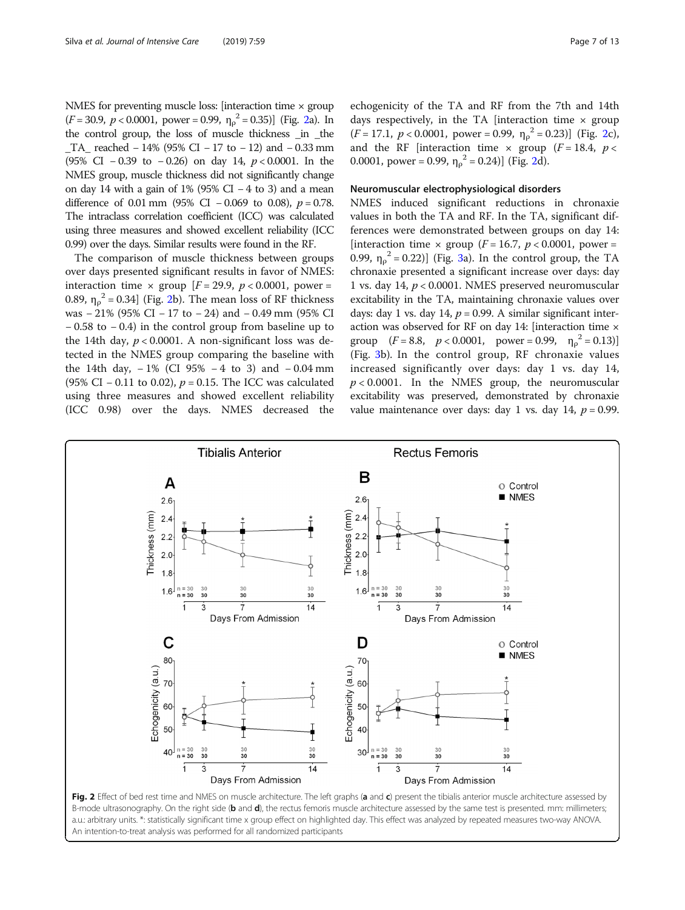NMES for preventing muscle loss: [interaction time  $\times$  group  $(F = 30.9, p < 0.0001, power = 0.99, \eta_{\rho}^2 = 0.35)$  (Fig. 2a). In the control group, the loss of muscle thickness \_in \_the TA reached  $- 14\%$  (95% CI − 17 to − 12) and − 0.33 mm (95% CI − 0.39 to − 0.26) on day 14, p < 0.0001. In the NMES group, muscle thickness did not significantly change on day 14 with a gain of 1% (95% CI – 4 to 3) and a mean difference of 0.01 mm (95% CI – 0.069 to 0.08),  $p = 0.78$ . The intraclass correlation coefficient (ICC) was calculated using three measures and showed excellent reliability (ICC 0.99) over the days. Similar results were found in the RF.

The comparison of muscle thickness between groups over days presented significant results in favor of NMES: interaction time  $\times$  group [ $F = 29.9$ ,  $p < 0.0001$ , power = 0.89,  $\eta_{\rho}^2$  = 0.34] (Fig. 2b). The mean loss of RF thickness was − 21% (95% CI − 17 to − 24) and − 0.49 mm (95% CI − 0.58 to − 0.4) in the control group from baseline up to the 14th day,  $p < 0.0001$ . A non-significant loss was detected in the NMES group comparing the baseline with the 14th day,  $-1\%$  (CI 95%  $-4$  to 3) and  $-0.04$  mm (95% CI – 0.11 to 0.02),  $p = 0.15$ . The ICC was calculated using three measures and showed excellent reliability (ICC 0.98) over the days. NMES decreased the echogenicity of the TA and RF from the 7th and 14th days respectively, in the TA [interaction time  $\times$  group  $(F = 17.1, p < 0.0001, power = 0.99, \eta_{\rho}^2 = 0.23)$  (Fig. 2c), and the RF [interaction time  $\times$  group ( $F = 18.4$ ,  $p <$ 0.0001, power = 0.99,  $\eta_{\rho}^2$  = 0.24)] (Fig. 2d).

# Neuromuscular electrophysiological disorders

NMES induced significant reductions in chronaxie values in both the TA and RF. In the TA, significant differences were demonstrated between groups on day 14: [interaction time  $\times$  group (*F* = 16.7, *p* < 0.0001, power = 0.99,  $\eta_{\rho}^2 = 0.22$ )] (Fig. [3](#page-7-0)a). In the control group, the TA chronaxie presented a significant increase over days: day 1 vs. day 14, p < 0.0001. NMES preserved neuromuscular excitability in the TA, maintaining chronaxie values over days: day 1 vs. day 14,  $p = 0.99$ . A similar significant interaction was observed for RF on day 14: [interaction time × group  $(F = 8.8, p < 0.0001, power = 0.99, \eta_{\rho}^2 = 0.13)$ (Fig. [3](#page-7-0)b). In the control group, RF chronaxie values increased significantly over days: day 1 vs. day 14,  $p < 0.0001$ . In the NMES group, the neuromuscular excitability was preserved, demonstrated by chronaxie value maintenance over days: day 1 vs. day 14,  $p = 0.99$ .



B-mode ultrasonography. On the right side (b and d), the rectus femoris muscle architecture assessed by the same test is presented. mm: millimeters; a.u.: arbitrary units. \*: statistically significant time x group effect on highlighted day. This effect was analyzed by repeated measures two-way ANOVA. An intention-to-treat analysis was performed for all randomized participants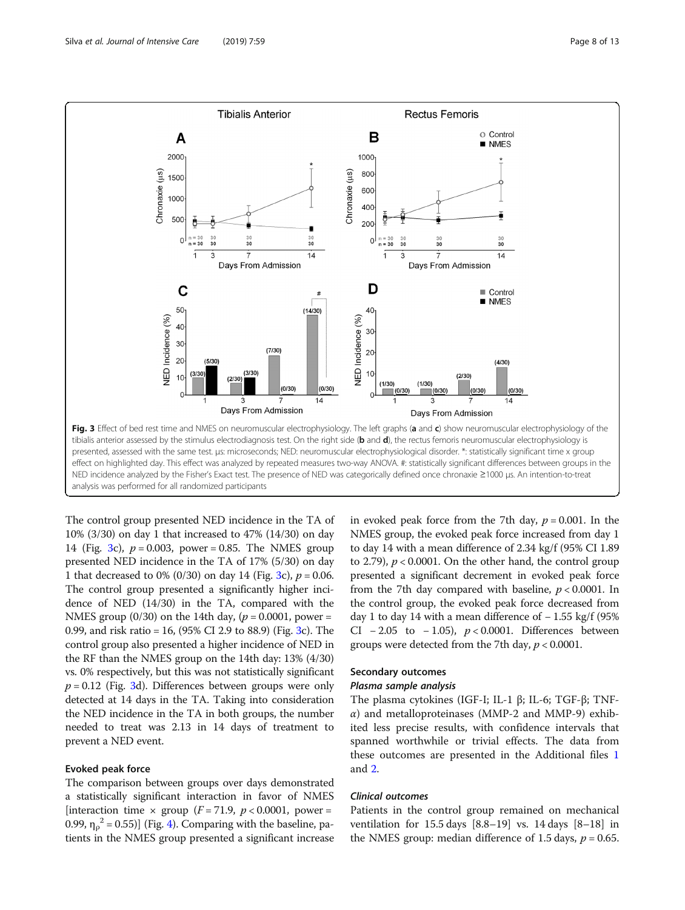<span id="page-7-0"></span>

The control group presented NED incidence in the TA of 10% (3/30) on day 1 that increased to 47% (14/30) on day 14 (Fig. 3c),  $p = 0.003$ , power = 0.85. The NMES group presented NED incidence in the TA of 17% (5/30) on day 1 that decreased to 0% (0/30) on day 14 (Fig. 3c),  $p = 0.06$ . The control group presented a significantly higher incidence of NED (14/30) in the TA, compared with the NMES group (0/30) on the 14th day, ( $p = 0.0001$ , power = 0.99, and risk ratio = 16,  $(95\% \text{ CI } 2.9 \text{ to } 88.9)$  (Fig. 3c). The control group also presented a higher incidence of NED in the RF than the NMES group on the 14th day: 13% (4/30) vs. 0% respectively, but this was not statistically significant  $p = 0.12$  (Fig. 3d). Differences between groups were only detected at 14 days in the TA. Taking into consideration the NED incidence in the TA in both groups, the number needed to treat was 2.13 in 14 days of treatment to prevent a NED event.

## Evoked peak force

The comparison between groups over days demonstrated a statistically significant interaction in favor of NMES [interaction time  $\times$  group (*F* = 71.9, *p* < 0.0001, power = 0.99,  $\eta_{\rho}^2$  = 0.55)] (Fig. [4\)](#page-8-0). Comparing with the baseline, patients in the NMES group presented a significant increase

in evoked peak force from the 7th day,  $p = 0.001$ . In the NMES group, the evoked peak force increased from day 1 to day 14 with a mean difference of 2.34 kg/f (95% CI 1.89 to 2.79),  $p < 0.0001$ . On the other hand, the control group presented a significant decrement in evoked peak force from the 7th day compared with baseline,  $p < 0.0001$ . In the control group, the evoked peak force decreased from day 1 to day 14 with a mean difference of  $-1.55$  kg/f (95% CI  $-2.05$  to  $-1.05$ ),  $p < 0.0001$ . Differences between groups were detected from the 7th day,  $p < 0.0001$ .

# Secondary outcomes

#### Plasma sample analysis

The plasma cytokines (IGF-I; IL-1 β; IL-6; TGF-β; TNF- $\alpha$ ) and metalloproteinases (MMP-2 and MMP-9) exhibited less precise results, with confidence intervals that spanned worthwhile or trivial effects. The data from these outcomes are presented in the Additional files [1](#page-10-0) and [2.](#page-10-0)

#### Clinical outcomes

Patients in the control group remained on mechanical ventilation for 15.5 days [8.8–19] vs. 14 days [8–18] in the NMES group: median difference of 1.5 days,  $p = 0.65$ .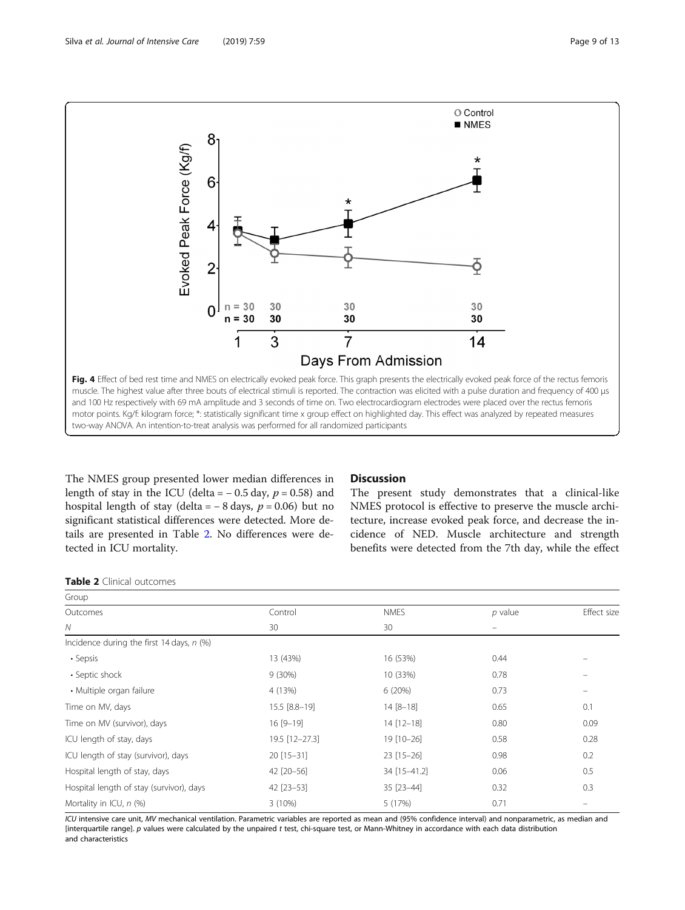<span id="page-8-0"></span>

The NMES group presented lower median differences in length of stay in the ICU (delta =  $-0.5$  day,  $p = 0.58$ ) and hospital length of stay (delta =  $-8$  days,  $p = 0.06$ ) but no significant statistical differences were detected. More details are presented in Table 2. No differences were detected in ICU mortality.

# **Discussion**

The present study demonstrates that a clinical-like NMES protocol is effective to preserve the muscle architecture, increase evoked peak force, and decrease the incidence of NED. Muscle architecture and strength benefits were detected from the 7th day, while the effect

Table 2 Clinical outcomes

| Group                                       |                |                |           |             |  |
|---------------------------------------------|----------------|----------------|-----------|-------------|--|
| Outcomes                                    | Control        | <b>NMES</b>    | $p$ value | Effect size |  |
| Ν                                           | 30             | 30             |           |             |  |
| Incidence during the first 14 days, $n$ (%) |                |                |           |             |  |
| • Sepsis                                    | 13 (43%)       | 16 (53%)       | 0.44      |             |  |
| • Septic shock                              | $9(30\%)$      | 10 (33%)       | 0.78      |             |  |
| • Multiple organ failure                    | 4 (13%)        | 6(20%)         | 0.73      | $\equiv$    |  |
| Time on MV, days                            | 15.5 [8.8-19]  | $14 [8 - 18]$  | 0.65      | 0.1         |  |
| Time on MV (survivor), days                 | $16[9-19]$     | $14 [12 - 18]$ | 0.80      | 0.09        |  |
| ICU length of stay, days                    | 19.5 [12-27.3] | 19 [10-26]     | 0.58      | 0.28        |  |
| ICU length of stay (survivor), days         | $20$ [15-31]   | $23$ [15-26]   | 0.98      | 0.2         |  |
| Hospital length of stay, days               | 42 [20-56]     | 34 [15-41.2]   | 0.06      | 0.5         |  |
| Hospital length of stay (survivor), days    | 42 [23-53]     | 35 [23-44]     | 0.32      | 0.3         |  |
| Mortality in ICU, $n$ (%)                   | 3(10%)         | 5 (17%)        | 0.71      | -           |  |

ICU intensive care unit, MV mechanical ventilation. Parametric variables are reported as mean and (95% confidence interval) and nonparametric, as median and [interquartile range]. p values were calculated by the unpaired t test, chi-square test, or Mann-Whitney in accordance with each data distribution and characteristics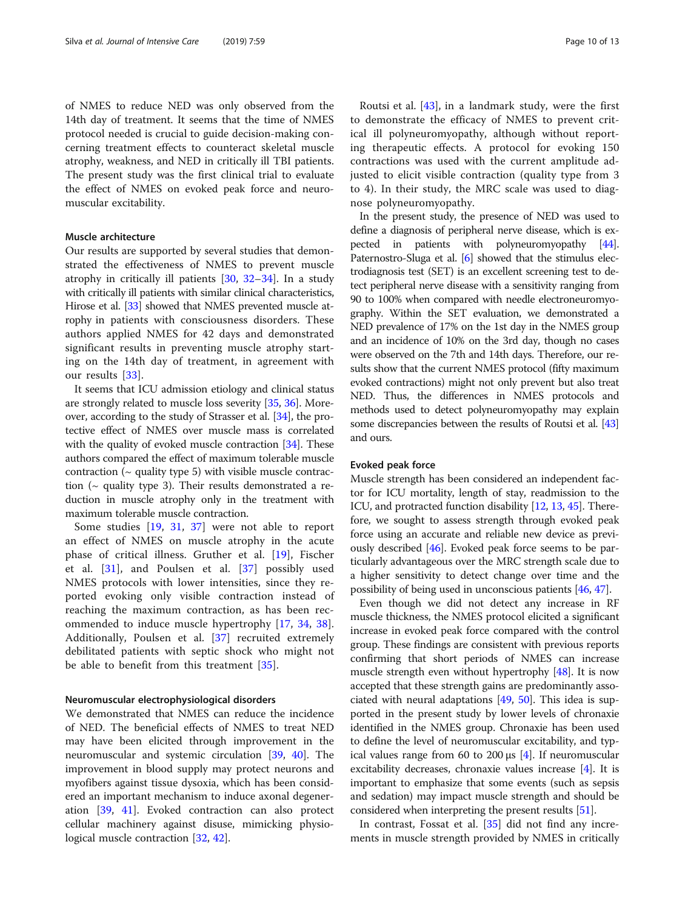of NMES to reduce NED was only observed from the 14th day of treatment. It seems that the time of NMES protocol needed is crucial to guide decision-making concerning treatment effects to counteract skeletal muscle atrophy, weakness, and NED in critically ill TBI patients. The present study was the first clinical trial to evaluate the effect of NMES on evoked peak force and neuromuscular excitability.

# Muscle architecture

Our results are supported by several studies that demonstrated the effectiveness of NMES to prevent muscle atrophy in critically ill patients [\[30](#page-11-0), [32](#page-11-0)–[34](#page-11-0)]. In a study with critically ill patients with similar clinical characteristics, Hirose et al. [\[33](#page-11-0)] showed that NMES prevented muscle atrophy in patients with consciousness disorders. These authors applied NMES for 42 days and demonstrated significant results in preventing muscle atrophy starting on the 14th day of treatment, in agreement with our results [\[33\]](#page-11-0).

It seems that ICU admission etiology and clinical status are strongly related to muscle loss severity [[35](#page-12-0), [36\]](#page-12-0). Moreover, according to the study of Strasser et al. [\[34\]](#page-11-0), the protective effect of NMES over muscle mass is correlated with the quality of evoked muscle contraction [[34](#page-11-0)]. These authors compared the effect of maximum tolerable muscle contraction ( $\sim$  quality type 5) with visible muscle contraction ( $\sim$  quality type 3). Their results demonstrated a reduction in muscle atrophy only in the treatment with maximum tolerable muscle contraction.

Some studies [[19,](#page-11-0) [31](#page-11-0), [37\]](#page-12-0) were not able to report an effect of NMES on muscle atrophy in the acute phase of critical illness. Gruther et al. [\[19](#page-11-0)], Fischer et al. [\[31](#page-11-0)], and Poulsen et al. [[37\]](#page-12-0) possibly used NMES protocols with lower intensities, since they reported evoking only visible contraction instead of reaching the maximum contraction, as has been recommended to induce muscle hypertrophy [[17,](#page-11-0) [34,](#page-11-0) [38](#page-12-0)]. Additionally, Poulsen et al. [[37](#page-12-0)] recruited extremely debilitated patients with septic shock who might not be able to benefit from this treatment [\[35](#page-12-0)].

#### Neuromuscular electrophysiological disorders

We demonstrated that NMES can reduce the incidence of NED. The beneficial effects of NMES to treat NED may have been elicited through improvement in the neuromuscular and systemic circulation [\[39](#page-12-0), [40\]](#page-12-0). The improvement in blood supply may protect neurons and myofibers against tissue dysoxia, which has been considered an important mechanism to induce axonal degeneration [\[39](#page-12-0), [41\]](#page-12-0). Evoked contraction can also protect cellular machinery against disuse, mimicking physiological muscle contraction [\[32](#page-11-0), [42](#page-12-0)].

Routsi et al. [\[43](#page-12-0)], in a landmark study, were the first to demonstrate the efficacy of NMES to prevent critical ill polyneuromyopathy, although without reporting therapeutic effects. A protocol for evoking 150 contractions was used with the current amplitude adjusted to elicit visible contraction (quality type from 3 to 4). In their study, the MRC scale was used to diagnose polyneuromyopathy.

In the present study, the presence of NED was used to define a diagnosis of peripheral nerve disease, which is expected in patients with polyneuromyopathy [\[44](#page-12-0)]. Paternostro-Sluga et al. [\[6\]](#page-11-0) showed that the stimulus electrodiagnosis test (SET) is an excellent screening test to detect peripheral nerve disease with a sensitivity ranging from 90 to 100% when compared with needle electroneuromyography. Within the SET evaluation, we demonstrated a NED prevalence of 17% on the 1st day in the NMES group and an incidence of 10% on the 3rd day, though no cases were observed on the 7th and 14th days. Therefore, our results show that the current NMES protocol (fifty maximum evoked contractions) might not only prevent but also treat NED. Thus, the differences in NMES protocols and methods used to detect polyneuromyopathy may explain some discrepancies between the results of Routsi et al. [\[43](#page-12-0)] and ours.

#### Evoked peak force

Muscle strength has been considered an independent factor for ICU mortality, length of stay, readmission to the ICU, and protracted function disability [\[12,](#page-11-0) [13](#page-11-0), [45](#page-12-0)]. Therefore, we sought to assess strength through evoked peak force using an accurate and reliable new device as previously described [\[46](#page-12-0)]. Evoked peak force seems to be particularly advantageous over the MRC strength scale due to a higher sensitivity to detect change over time and the possibility of being used in unconscious patients [[46](#page-12-0), [47\]](#page-12-0).

Even though we did not detect any increase in RF muscle thickness, the NMES protocol elicited a significant increase in evoked peak force compared with the control group. These findings are consistent with previous reports confirming that short periods of NMES can increase muscle strength even without hypertrophy [\[48\]](#page-12-0). It is now accepted that these strength gains are predominantly associated with neural adaptations  $[49, 50]$  $[49, 50]$  $[49, 50]$  $[49, 50]$ . This idea is supported in the present study by lower levels of chronaxie identified in the NMES group. Chronaxie has been used to define the level of neuromuscular excitability, and typical values range from 60 to 200 μs  $[4]$ . If neuromuscular excitability decreases, chronaxie values increase [[4](#page-11-0)]. It is important to emphasize that some events (such as sepsis and sedation) may impact muscle strength and should be considered when interpreting the present results [\[51\]](#page-12-0).

In contrast, Fossat et al. [\[35](#page-12-0)] did not find any increments in muscle strength provided by NMES in critically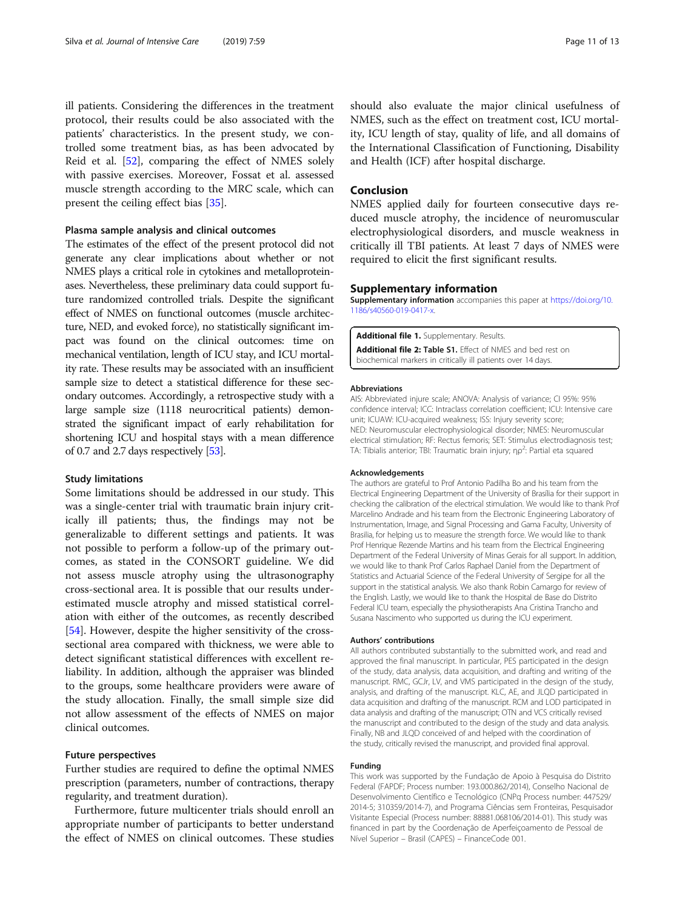<span id="page-10-0"></span>ill patients. Considering the differences in the treatment protocol, their results could be also associated with the patients' characteristics. In the present study, we controlled some treatment bias, as has been advocated by Reid et al. [\[52](#page-12-0)], comparing the effect of NMES solely with passive exercises. Moreover, Fossat et al. assessed muscle strength according to the MRC scale, which can present the ceiling effect bias [\[35\]](#page-12-0).

# Plasma sample analysis and clinical outcomes

The estimates of the effect of the present protocol did not generate any clear implications about whether or not NMES plays a critical role in cytokines and metalloproteinases. Nevertheless, these preliminary data could support future randomized controlled trials. Despite the significant effect of NMES on functional outcomes (muscle architecture, NED, and evoked force), no statistically significant impact was found on the clinical outcomes: time on mechanical ventilation, length of ICU stay, and ICU mortality rate. These results may be associated with an insufficient sample size to detect a statistical difference for these secondary outcomes. Accordingly, a retrospective study with a large sample size (1118 neurocritical patients) demonstrated the significant impact of early rehabilitation for shortening ICU and hospital stays with a mean difference of 0.7 and 2.7 days respectively [\[53](#page-12-0)].

#### Study limitations

Some limitations should be addressed in our study. This was a single-center trial with traumatic brain injury critically ill patients; thus, the findings may not be generalizable to different settings and patients. It was not possible to perform a follow-up of the primary outcomes, as stated in the CONSORT guideline. We did not assess muscle atrophy using the ultrasonography cross-sectional area. It is possible that our results underestimated muscle atrophy and missed statistical correlation with either of the outcomes, as recently described [[54\]](#page-12-0). However, despite the higher sensitivity of the crosssectional area compared with thickness, we were able to detect significant statistical differences with excellent reliability. In addition, although the appraiser was blinded to the groups, some healthcare providers were aware of the study allocation. Finally, the small simple size did not allow assessment of the effects of NMES on major clinical outcomes.

#### Future perspectives

Further studies are required to define the optimal NMES prescription (parameters, number of contractions, therapy regularity, and treatment duration).

Furthermore, future multicenter trials should enroll an appropriate number of participants to better understand the effect of NMES on clinical outcomes. These studies

should also evaluate the major clinical usefulness of NMES, such as the effect on treatment cost, ICU mortality, ICU length of stay, quality of life, and all domains of the International Classification of Functioning, Disability and Health (ICF) after hospital discharge.

#### Conclusion

NMES applied daily for fourteen consecutive days reduced muscle atrophy, the incidence of neuromuscular electrophysiological disorders, and muscle weakness in critically ill TBI patients. At least 7 days of NMES were required to elicit the first significant results.

# Supplementary information

Supplementary information accompanies this paper at [https://doi.org/10.](https://doi.org/10.1186/s40560-019-0417-x) [1186/s40560-019-0417-x](https://doi.org/10.1186/s40560-019-0417-x).

Additional file 1. Supplementary. Results.

Additional file 2: Table S1. Effect of NMES and bed rest on biochemical markers in critically ill patients over 14 days.

#### Abbreviations

AIS: Abbreviated injure scale; ANOVA: Analysis of variance; CI 95%: 95% confidence interval; ICC: Intraclass correlation coefficient; ICU: Intensive care unit; ICUAW: ICU-acquired weakness; ISS: Injury severity score; NED: Neuromuscular electrophysiological disorder; NMES: Neuromuscular electrical stimulation; RF: Rectus femoris; SET: Stimulus electrodiagnosis test; TA: Tibialis anterior; TBI: Traumatic brain injury; ηρ<sup>2</sup>: Partial eta squared

#### Acknowledgements

The authors are grateful to Prof Antonio Padilha Bo and his team from the Electrical Engineering Department of the University of Brasília for their support in checking the calibration of the electrical stimulation. We would like to thank Prof Marcelino Andrade and his team from the Electronic Engineering Laboratory of Instrumentation, Image, and Signal Processing and Gama Faculty, University of Brasilia, for helping us to measure the strength force. We would like to thank Prof Henrique Rezende Martins and his team from the Electrical Engineering Department of the Federal University of Minas Gerais for all support. In addition, we would like to thank Prof Carlos Raphael Daniel from the Department of Statistics and Actuarial Science of the Federal University of Sergipe for all the support in the statistical analysis. We also thank Robin Camargo for review of the English. Lastly, we would like to thank the Hospital de Base do Distrito Federal ICU team, especially the physiotherapists Ana Cristina Trancho and Susana Nascimento who supported us during the ICU experiment.

#### Authors' contributions

All authors contributed substantially to the submitted work, and read and approved the final manuscript. In particular, PES participated in the design of the study, data analysis, data acquisition, and drafting and writing of the manuscript. RMC, GCJr, LV, and VMS participated in the design of the study, analysis, and drafting of the manuscript. KLC, AE, and JLQD participated in data acquisition and drafting of the manuscript. RCM and LOD participated in data analysis and drafting of the manuscript; OTN and VCS critically revised the manuscript and contributed to the design of the study and data analysis. Finally, NB and JLQD conceived of and helped with the coordination of the study, critically revised the manuscript, and provided final approval.

#### Funding

This work was supported by the Fundação de Apoio à Pesquisa do Distrito Federal (FAPDF; Process number: 193.000.862/2014), Conselho Nacional de Desenvolvimento Científico e Tecnológico (CNPq Process number: 447529/ 2014-5; 310359/2014-7), and Programa Ciências sem Fronteiras, Pesquisador Visitante Especial (Process number: 88881.068106/2014-01). This study was financed in part by the Coordenação de Aperfeiçoamento de Pessoal de Nível Superior – Brasil (CAPES) – FinanceCode 001.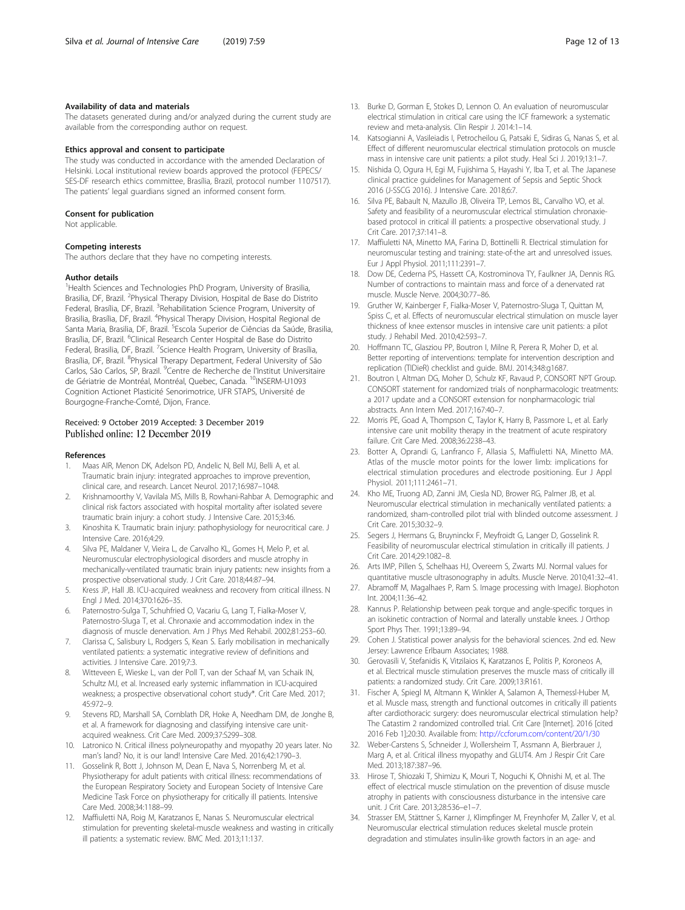#### <span id="page-11-0"></span>Availability of data and materials

The datasets generated during and/or analyzed during the current study are available from the corresponding author on request.

#### Ethics approval and consent to participate

The study was conducted in accordance with the amended Declaration of Helsinki. Local institutional review boards approved the protocol (FEPECS/ SES-DF research ethics committee, Brasília, Brazil, protocol number 1107517). The patients' legal guardians signed an informed consent form.

#### Consent for publication

Not applicable.

#### Competing interests

The authors declare that they have no competing interests.

#### Author details

<sup>1</sup>Health Sciences and Technologies PhD Program, University of Brasilia, Brasilia, DF, Brazil. <sup>2</sup>Physical Therapy Division, Hospital de Base do Distrito Federal, Brasília, DF, Brazil. <sup>3</sup>Rehabilitation Science Program, University of Brasilia, Brasília, DF, Brazil. <sup>4</sup>Physical Therapy Division, Hospital Regional de Santa Maria, Brasilia, DF, Brazil. <sup>5</sup>Escola Superior de Ciências da Saúde, Brasilia, Brasília, DF, Brazil. <sup>6</sup>Clinical Research Center Hospital de Base do Distrito Federal, Brasilia, DF, Brazil. <sup>7</sup>Science Health Program, University of Brasília, Brasília, DF, Brazil. <sup>8</sup>Physical Therapy Department, Federal University of São Carlos, São Carlos, SP, Brazil. <sup>9</sup>Centre de Recherche de l'Institut Universitaire de Gériatrie de Montréal, Montréal, Quebec, Canada. <sup>10</sup>INSERM-U1093 Cognition Actionet Plasticité Senorimotrice, UFR STAPS, Université de Bourgogne-Franche-Comté, Dijon, France.

# Received: 9 October 2019 Accepted: 3 December 2019 Published online: 12 December 2019

#### References

- 1. Maas AIR, Menon DK, Adelson PD, Andelic N, Bell MJ, Belli A, et al. Traumatic brain injury: integrated approaches to improve prevention, clinical care, and research. Lancet Neurol. 2017;16:987–1048.
- 2. Krishnamoorthy V, Vavilala MS, Mills B, Rowhani-Rahbar A. Demographic and clinical risk factors associated with hospital mortality after isolated severe traumatic brain injury: a cohort study. J Intensive Care. 2015;3:46.
- Kinoshita K. Traumatic brain injury: pathophysiology for neurocritical care. J Intensive Care. 2016;4:29.
- 4. Silva PE, Maldaner V, Vieira L, de Carvalho KL, Gomes H, Melo P, et al. Neuromuscular electrophysiological disorders and muscle atrophy in mechanically-ventilated traumatic brain injury patients: new insights from a prospective observational study. J Crit Care. 2018;44:87–94.
- 5. Kress JP, Hall JB. ICU-acquired weakness and recovery from critical illness. N Engl J Med. 2014;370:1626–35.
- 6. Paternostro-Sulga T, Schuhfried O, Vacariu G, Lang T, Fialka-Moser V, Paternostro-Sluga T, et al. Chronaxie and accommodation index in the diagnosis of muscle denervation. Am J Phys Med Rehabil. 2002;81:253–60.
- 7. Clarissa C, Salisbury L, Rodgers S, Kean S. Early mobilisation in mechanically ventilated patients: a systematic integrative review of definitions and activities. J Intensive Care. 2019;7:3.
- 8. Witteveen E, Wieske L, van der Poll T, van der Schaaf M, van Schaik IN, Schultz MJ, et al. Increased early systemic inflammation in ICU-acquired weakness; a prospective observational cohort study\*. Crit Care Med. 2017; 45:972–9.
- 9. Stevens RD, Marshall SA, Cornblath DR, Hoke A, Needham DM, de Jonghe B, et al. A framework for diagnosing and classifying intensive care unitacquired weakness. Crit Care Med. 2009;37:S299–308.
- 10. Latronico N. Critical illness polyneuropathy and myopathy 20 years later. No man's land? No, it is our land! Intensive Care Med. 2016;42:1790–3.
- 11. Gosselink R, Bott J, Johnson M, Dean E, Nava S, Norrenberg M, et al. Physiotherapy for adult patients with critical illness: recommendations of the European Respiratory Society and European Society of Intensive Care Medicine Task Force on physiotherapy for critically ill patients. Intensive Care Med. 2008;34:1188–99.
- 12. Maffiuletti NA, Roig M, Karatzanos E, Nanas S. Neuromuscular electrical stimulation for preventing skeletal-muscle weakness and wasting in critically ill patients: a systematic review. BMC Med. 2013;11:137.
- 13. Burke D, Gorman E, Stokes D, Lennon O. An evaluation of neuromuscular
- electrical stimulation in critical care using the ICF framework: a systematic review and meta-analysis. Clin Respir J. 2014:1–14.
- 14. Katsogianni A, Vasileiadis I, Petrocheilou G, Patsaki E, Sidiras G, Nanas S, et al. Effect of different neuromuscular electrical stimulation protocols on muscle mass in intensive care unit patients: a pilot study. Heal Sci J. 2019;13:1–7.
- 15. Nishida O, Ogura H, Egi M, Fujishima S, Hayashi Y, Iba T, et al. The Japanese clinical practice guidelines for Management of Sepsis and Septic Shock 2016 (J-SSCG 2016). J Intensive Care. 2018;6:7.
- 16. Silva PE, Babault N, Mazullo JB, Oliveira TP, Lemos BL, Carvalho VO, et al. Safety and feasibility of a neuromuscular electrical stimulation chronaxiebased protocol in critical ill patients: a prospective observational study. J Crit Care. 2017;37:141–8.
- 17. Maffiuletti NA, Minetto MA, Farina D, Bottinelli R. Electrical stimulation for neuromuscular testing and training: state-of-the art and unresolved issues. Eur J Appl Physiol. 2011;111:2391–7.
- 18. Dow DE, Cederna PS, Hassett CA, Kostrominova TY, Faulkner JA, Dennis RG. Number of contractions to maintain mass and force of a denervated rat muscle. Muscle Nerve. 2004;30:77–86.
- 19. Gruther W, Kainberger F, Fialka-Moser V, Paternostro-Sluga T, Quittan M, Spiss C, et al. Effects of neuromuscular electrical stimulation on muscle layer thickness of knee extensor muscles in intensive care unit patients: a pilot study. J Rehabil Med. 2010;42:593–7.
- 20. Hoffmann TC, Glasziou PP, Boutron I, Milne R, Perera R, Moher D, et al. Better reporting of interventions: template for intervention description and replication (TIDieR) checklist and guide. BMJ. 2014;348:g1687.
- 21. Boutron I, Altman DG, Moher D, Schulz KF, Ravaud P, CONSORT NPT Group. CONSORT statement for randomized trials of nonpharmacologic treatments: a 2017 update and a CONSORT extension for nonpharmacologic trial abstracts. Ann Intern Med. 2017;167:40–7.
- 22. Morris PE, Goad A, Thompson C, Taylor K, Harry B, Passmore L, et al. Early intensive care unit mobility therapy in the treatment of acute respiratory failure. Crit Care Med. 2008;36:2238–43.
- 23. Botter A, Oprandi G, Lanfranco F, Allasia S, Maffiuletti NA, Minetto MA. Atlas of the muscle motor points for the lower limb: implications for electrical stimulation procedures and electrode positioning. Eur J Appl Physiol. 2011;111:2461–71.
- 24. Kho ME, Truong AD, Zanni JM, Ciesla ND, Brower RG, Palmer JB, et al. Neuromuscular electrical stimulation in mechanically ventilated patients: a randomized, sham-controlled pilot trial with blinded outcome assessment. J Crit Care. 2015;30:32–9.
- 25. Segers J, Hermans G, Bruyninckx F, Meyfroidt G, Langer D, Gosselink R. Feasibility of neuromuscular electrical stimulation in critically ill patients. J Crit Care. 2014;29:1082–8.
- 26. Arts IMP, Pillen S, Schelhaas HJ, Overeem S, Zwarts MJ. Normal values for quantitative muscle ultrasonography in adults. Muscle Nerve. 2010;41:32–41.
- Abramoff M, Magalhaes P, Ram S. Image processing with ImageJ. Biophoton Int. 2004;11:36–42.
- 28. Kannus P. Relationship between peak torque and angle-specific torques in an isokinetic contraction of Normal and laterally unstable knees. J Orthop Sport Phys Ther. 1991;13:89–94.
- 29. Cohen J. Statistical power analysis for the behavioral sciences. 2nd ed. New Jersey: Lawrence Erlbaum Associates; 1988.
- 30. Gerovasili V, Stefanidis K, Vitzilaios K, Karatzanos E, Politis P, Koroneos A, et al. Electrical muscle stimulation preserves the muscle mass of critically ill patients: a randomized study. Crit Care. 2009;13:R161.
- 31. Fischer A, Spiegl M, Altmann K, Winkler A, Salamon A, Themessl-Huber M, et al. Muscle mass, strength and functional outcomes in critically ill patients after cardiothoracic surgery: does neuromuscular electrical stimulation help? The Catastim 2 randomized controlled trial. Crit Care [Internet]. 2016 [cited 2016 Feb 1];20:30. Available from: <http://ccforum.com/content/20/1/30>
- 32. Weber-Carstens S, Schneider J, Wollersheim T, Assmann A, Bierbrauer J, Marg A, et al. Critical illness myopathy and GLUT4. Am J Respir Crit Care Med. 2013;187:387–96.
- 33. Hirose T, Shiozaki T, Shimizu K, Mouri T, Noguchi K, Ohnishi M, et al. The effect of electrical muscle stimulation on the prevention of disuse muscle atrophy in patients with consciousness disturbance in the intensive care unit. J Crit Care. 2013;28:536–e1–7.
- 34. Strasser EM, Stättner S, Karner J, Klimpfinger M, Freynhofer M, Zaller V, et al. Neuromuscular electrical stimulation reduces skeletal muscle protein degradation and stimulates insulin-like growth factors in an age- and